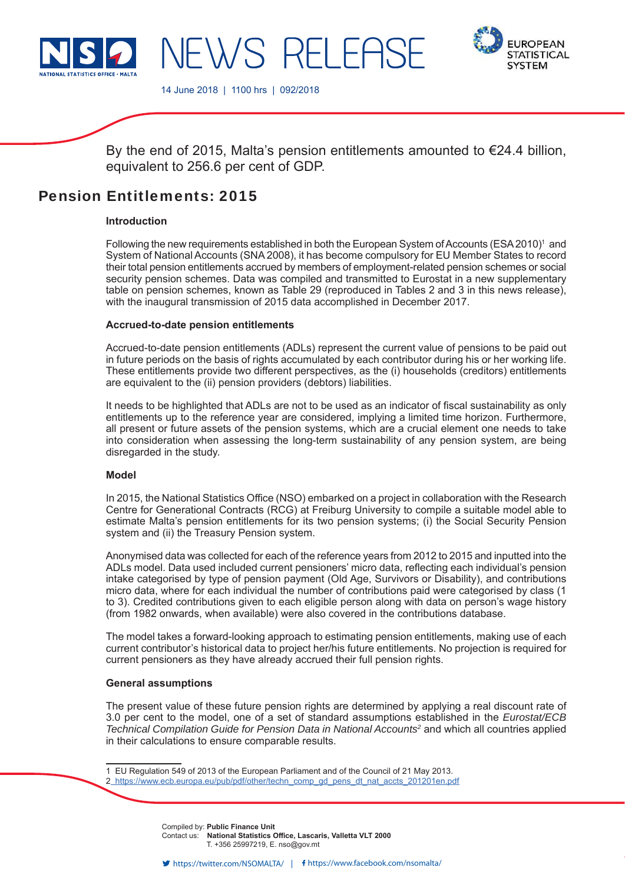

**EUROPEAN STATISTICAL SYSTEM** 

14 June 2018 | 1100 hrs | 092/2018

NEWS RELEE

By the end of 2015, Malta's pension entitlements amounted to  $\epsilon$ 24.4 billion, equivalent to 256.6 per cent of GDP.

# Pension Entitlements: 2015

# **Introduction**

Following the new requirements established in both the European System of Accounts (ESA 2010)<sup>1</sup> and System of National Accounts (SNA 2008), it has become compulsory for EU Member States to record their total pension entitlements accrued by members of employment-related pension schemes or social security pension schemes. Data was compiled and transmitted to Eurostat in a new supplementary table on pension schemes, known as Table 29 (reproduced in Tables 2 and 3 in this news release), with the inaugural transmission of 2015 data accomplished in December 2017.

# **Accrued-to-date pension entitlements**

Accrued-to-date pension entitlements (ADLs) represent the current value of pensions to be paid out in future periods on the basis of rights accumulated by each contributor during his or her working life. These entitlements provide two different perspectives, as the (i) households (creditors) entitlements are equivalent to the (ii) pension providers (debtors) liabilities.

It needs to be highlighted that ADLs are not to be used as an indicator of fiscal sustainability as only entitlements up to the reference year are considered, implying a limited time horizon. Furthermore, all present or future assets of the pension systems, which are a crucial element one needs to take into consideration when assessing the long-term sustainability of any pension system, are being disregarded in the study.

# **Model**

In 2015, the National Statistics Office (NSO) embarked on a project in collaboration with the Research Centre for Generational Contracts (RCG) at Freiburg University to compile a suitable model able to estimate Malta's pension entitlements for its two pension systems; (i) the Social Security Pension system and (ii) the Treasury Pension system.

Anonymised data was collected for each of the reference years from 2012 to 2015 and inputted into the ADLs model. Data used included current pensioners' micro data, reflecting each individual's pension intake categorised by type of pension payment (Old Age, Survivors or Disability), and contributions micro data, where for each individual the number of contributions paid were categorised by class (1 to 3). Credited contributions given to each eligible person along with data on person's wage history (from 1982 onwards, when available) were also covered in the contributions database.

The model takes a forward-looking approach to estimating pension entitlements, making use of each current contributor's historical data to project her/his future entitlements. No projection is required for current pensioners as they have already accrued their full pension rights.

#### **General assumptions**

The present value of these future pension rights are determined by applying a real discount rate of 3.0 per cent to the model, one of a set of standard assumptions established in the *Eurostat/ECB*  Technical Compilation Guide for Pension Data in National Accounts<sup>2</sup> and which all countries applied in their calculations to ensure comparable results.

1 EU Regulation 549 of 2013 of the European Parliament and of the Council of 21 May 2013.

Compiled by: **Public Finance Unit** Contact us: **National Statistics Office, Lascaris, Valletta VLT 2000** T. +356 25997219, E. nso@gov.mt

<sup>2</sup> https://www.ecb.europa.eu/pub/pdf/other/techn\_comp\_gd\_pens\_dt\_nat\_accts\_201201en.pdf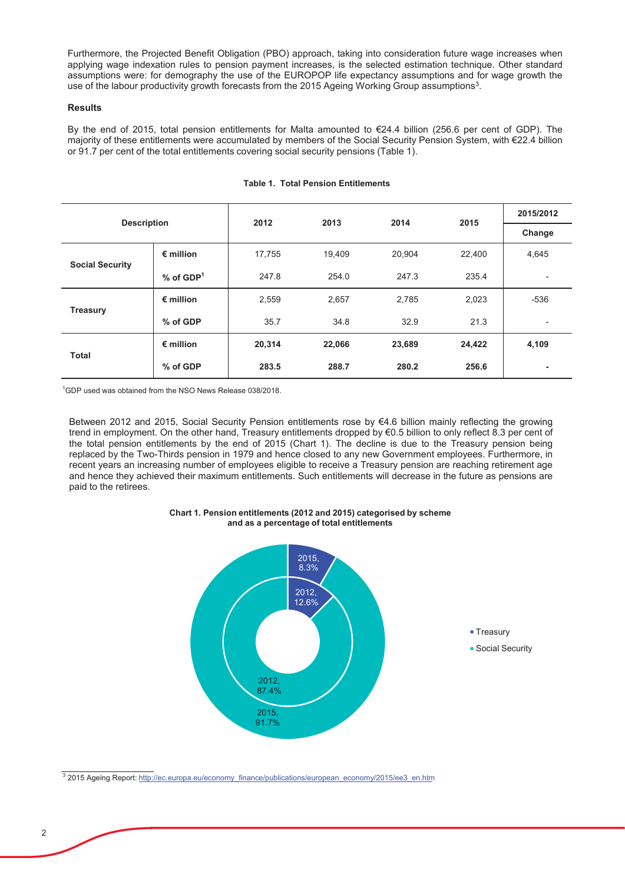Furthermore, the Projected Benefit Obligation (PBO) approach, taking into consideration future wage increases when applying wage indexation rules to pension payment increases, is the selected estimation technique. Other standard assumptions were: for demography the use of the EUROPOP life expectancy assumptions and for wage growth the use of the labour productivity growth forecasts from the 2015 Ageing Working Group assumptions<sup>3</sup>.

# **Results**

By the end of 2015, total pension entitlements for Malta amounted to  $\epsilon$ 24.4 billion (256.6 per cent of GDP). The majority of these entitlements were accumulated by members of the Social Security Pension System, with €22.4 billion or 91.7 per cent of the total entitlements covering social security pensions (Table 1).

| <b>Description</b>     |                         | 2012   | 2013   | 2014   | 2015   | 2015/2012                |
|------------------------|-------------------------|--------|--------|--------|--------|--------------------------|
|                        |                         |        |        |        |        | Change                   |
|                        | $\epsilon$ million      | 17,755 | 19,409 | 20,904 | 22,400 | 4,645                    |
| <b>Social Security</b> | $%$ of GDP <sup>1</sup> | 247.8  | 254.0  | 247.3  | 235.4  | $\overline{\phantom{a}}$ |
| <b>Treasury</b>        | $\epsilon$ million      | 2,559  | 2,657  | 2,785  | 2,023  | $-536$                   |
|                        | % of GDP                | 35.7   | 34.8   | 32.9   | 21.3   | $\overline{\phantom{a}}$ |
| <b>Total</b>           | $\epsilon$ million      | 20,314 | 22,066 | 23,689 | 24,422 | 4,109                    |
|                        | % of GDP                | 283.5  | 288.7  | 280.2  | 256.6  | ۰                        |

## **Table 1. Total Pension Entitlements**

 $^1$ GDP used was obtained from the NSO News Release 038/2018.

Between 2012 and 2015, Social Security Pension entitlements rose by  $€4.6$  billion mainly reflecting the growing trend in employment. On the other hand, Treasury entitlements dropped by  $\epsilon$ 0.5 billion to only reflect 8.3 per cent of the total pension entitlements by the end of 2015 (Chart 1). The decline is due to the Treasury pension being replaced by the Two-Thirds pension in 1979 and hence closed to any new Government employees. Furthermore, in recent years an increasing number of employees eligible to receive a Treasury pension are reaching retirement age and hence they achieved their maximum entitlements. Such entitlements will decrease in the future as pensions are paid to the retirees.





<sup>&</sup>lt;sup>3</sup> 2015 Ageing Report: http://ec.europa.eu/economy finance/publications/european economy/2015/ee3 en.htm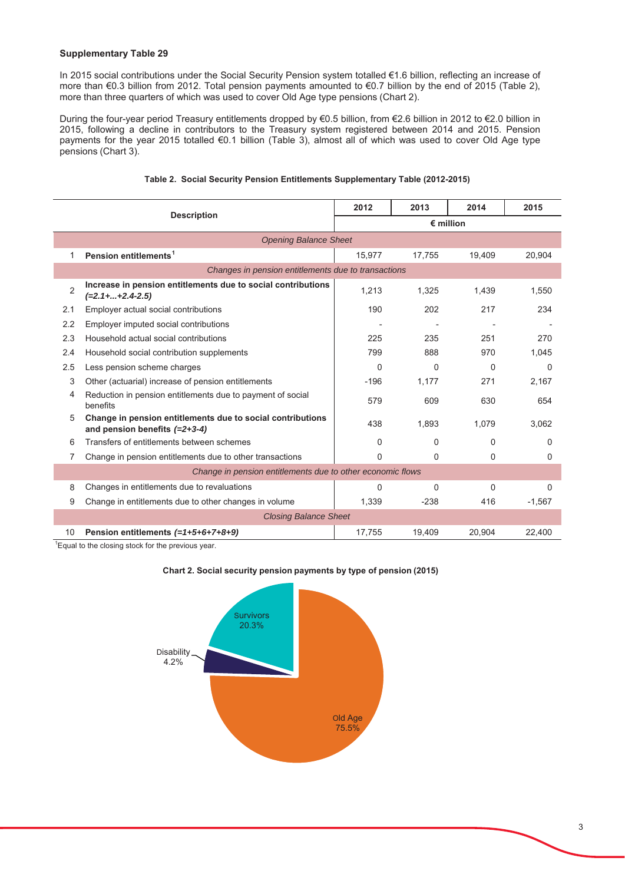# **Supplementary Table 29**

In 2015 social contributions under the Social Security Pension system totalled €1.6 billion, reflecting an increase of more than  $\epsilon$ 0.3 billion from 2012. Total pension payments amounted to  $\epsilon$ 0.7 billion by the end of 2015 (Table 2), more than three quarters of which was used to cover Old Age type pensions (Chart 2).

During the four-year period Treasury entitlements dropped by €0.5 billion, from €2.6 billion in 2012 to €2.0 billion in 2015, following a decline in contributors to the Treasury system registered between 2014 and 2015. Pension payments for the year 2015 totalled  $\epsilon$ 0.1 billion (Table 3), almost all of which was used to cover Old Age type pensions (Chart 3).

|                                                            |                                                                                               | 2012               | 2013     | 2014     | 2015     |  |
|------------------------------------------------------------|-----------------------------------------------------------------------------------------------|--------------------|----------|----------|----------|--|
|                                                            | <b>Description</b>                                                                            | $\epsilon$ million |          |          |          |  |
| <b>Opening Balance Sheet</b>                               |                                                                                               |                    |          |          |          |  |
| 1                                                          | Pension entitlements <sup>1</sup>                                                             | 15,977             | 17.755   | 19.409   | 20.904   |  |
| Changes in pension entitlements due to transactions        |                                                                                               |                    |          |          |          |  |
| $\overline{2}$                                             | Increase in pension entitlements due to social contributions<br>$(=2.1 +  + 2.4 - 2.5)$       | 1,213              | 1,325    | 1,439    | 1,550    |  |
| 2.1                                                        | Employer actual social contributions                                                          | 190                | 202      | 217      | 234      |  |
| 2.2                                                        | Employer imputed social contributions                                                         |                    |          |          |          |  |
| 2.3                                                        | Household actual social contributions                                                         | 225                | 235      | 251      | 270      |  |
| 2.4                                                        | Household social contribution supplements                                                     | 799                | 888      | 970      | 1.045    |  |
| 2.5                                                        | Less pension scheme charges                                                                   | $\Omega$           | $\Omega$ | $\Omega$ | $\Omega$ |  |
| 3                                                          | Other (actuarial) increase of pension entitlements                                            | $-196$             | 1,177    | 271      | 2,167    |  |
| 4                                                          | Reduction in pension entitlements due to payment of social<br>benefits                        | 579                | 609      | 630      | 654      |  |
| 5                                                          | Change in pension entitlements due to social contributions<br>and pension benefits $(=2+3-4)$ | 438                | 1,893    | 1.079    | 3.062    |  |
| 6                                                          | Transfers of entitlements between schemes                                                     | $\Omega$           | 0        | $\Omega$ | $\Omega$ |  |
| 7                                                          | Change in pension entitlements due to other transactions                                      | 0                  | 0        | 0        | $\Omega$ |  |
| Change in pension entitlements due to other economic flows |                                                                                               |                    |          |          |          |  |
| 8                                                          | Changes in entitlements due to revaluations                                                   | 0                  | 0        | $\Omega$ | $\Omega$ |  |
| 9                                                          | Change in entitlements due to other changes in volume                                         | 1,339              | $-238$   | 416      | $-1,567$ |  |
| <b>Closing Balance Sheet</b>                               |                                                                                               |                    |          |          |          |  |
| 10                                                         | Pension entitlements $(=1+5+6+7+8+9)$                                                         | 17,755             | 19,409   | 20,904   | 22,400   |  |

# Table 2. Social Security Pension Entitlements Supplementary Table (2012-2015)

 ${}^{1}$ Equal to the closing stock for the previous year.

#### Chart 2. Social security pension payments by type of pension (2015)

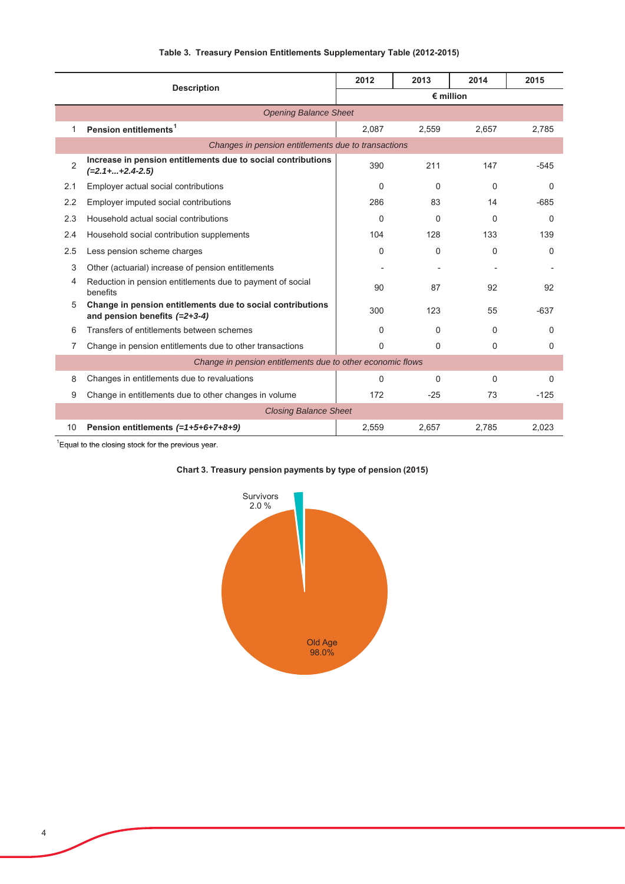|                                                            | <b>Description</b>                                                                            | 2012               | 2013     | 2014     | 2015     |  |  |
|------------------------------------------------------------|-----------------------------------------------------------------------------------------------|--------------------|----------|----------|----------|--|--|
|                                                            |                                                                                               | $\epsilon$ million |          |          |          |  |  |
|                                                            | <b>Opening Balance Sheet</b>                                                                  |                    |          |          |          |  |  |
| 1                                                          | Pension entitlements <sup>1</sup>                                                             | 2,087              | 2,559    | 2.657    | 2,785    |  |  |
|                                                            | Changes in pension entitlements due to transactions                                           |                    |          |          |          |  |  |
| $\overline{2}$                                             | Increase in pension entitlements due to social contributions<br>$(=2.1 +  + 2.4 - 2.5)$       | 390                | 211      | 147      | $-545$   |  |  |
| 2.1                                                        | Employer actual social contributions                                                          | $\Omega$           | $\Omega$ | $\Omega$ | 0        |  |  |
| 2.2                                                        | Employer imputed social contributions                                                         | 286                | 83       | 14       | $-685$   |  |  |
| 2.3                                                        | Household actual social contributions                                                         | $\Omega$           | $\Omega$ | $\Omega$ | 0        |  |  |
| 2.4                                                        | Household social contribution supplements                                                     | 104                | 128      | 133      | 139      |  |  |
| 2.5                                                        | Less pension scheme charges                                                                   | $\Omega$           | $\Omega$ | $\Omega$ | $\Omega$ |  |  |
| 3                                                          | Other (actuarial) increase of pension entitlements                                            |                    |          |          |          |  |  |
| 4                                                          | Reduction in pension entitlements due to payment of social<br>benefits                        | 90                 | 87       | 92       | 92       |  |  |
| 5                                                          | Change in pension entitlements due to social contributions<br>and pension benefits $(=2+3-4)$ | 300                | 123      | 55       | $-637$   |  |  |
| 6                                                          | Transfers of entitlements between schemes                                                     | 0                  | $\Omega$ | $\Omega$ | 0        |  |  |
| 7                                                          | Change in pension entitlements due to other transactions                                      | $\Omega$           | $\Omega$ | $\Omega$ | 0        |  |  |
| Change in pension entitlements due to other economic flows |                                                                                               |                    |          |          |          |  |  |
| 8                                                          | Changes in entitlements due to revaluations                                                   | 0                  | $\Omega$ | $\Omega$ | $\Omega$ |  |  |
| 9                                                          | Change in entitlements due to other changes in volume                                         | 172                | $-25$    | 73       | $-125$   |  |  |
| <b>Closing Balance Sheet</b>                               |                                                                                               |                    |          |          |          |  |  |
| 10                                                         | Pension entitlements (=1+5+6+7+8+9)                                                           | 2,559              | 2.657    | 2.785    | 2,023    |  |  |

# Table 3. Treasury Pension Entitlements Supplementary Table (2012-2015)

 $\mathrm{H}$  Equal to the closing stock for the previous year.



# Chart 3. Treasury pension payments by type of pension (2015)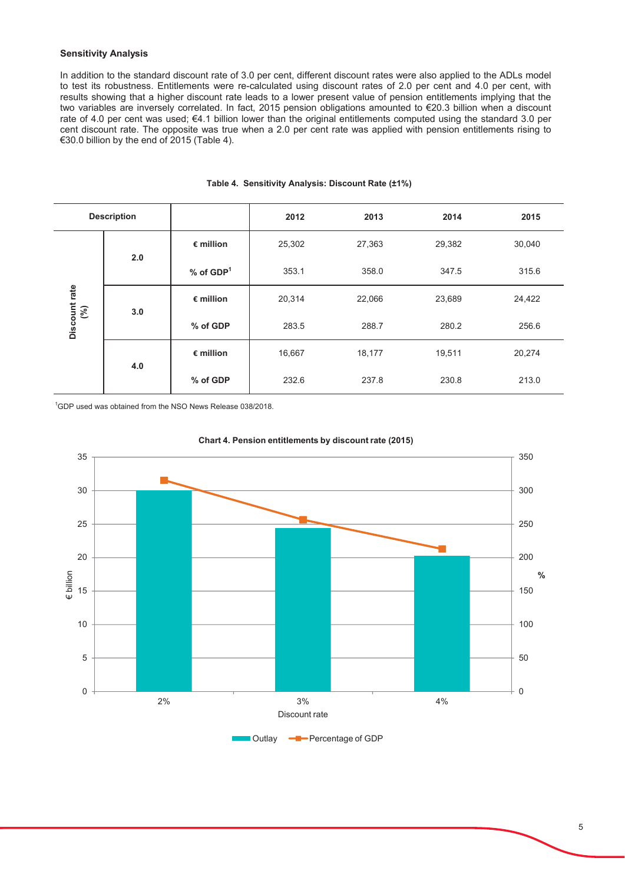# **Sensitivity Analysis**

In addition to the standard discount rate of 3.0 per cent, different discount rates were also applied to the ADLs model to test its robustness. Entitlements were re-calculated using discount rates of 2.0 per cent and 4.0 per cent, with results showing that a higher discount rate leads to a lower present value of pension entitlements implying that the two variables are inversely correlated. In fact, 2015 pension obligations amounted to €20.3 billion when a discount rate of 4.0 per cent was used; €4.1 billion lower than the original entitlements computed using the standard 3.0 per cent discount rate. The opposite was true when a 2.0 per cent rate was applied with pension entitlements rising to  $\epsilon$ 30.0 billion by the end of 2015 (Table 4).

| <b>Description</b>           |     |                         | 2012   | 2013   | 2014   | 2015   |
|------------------------------|-----|-------------------------|--------|--------|--------|--------|
| Discount rate $\binom{9}{0}$ | 2.0 | $\epsilon$ million      | 25,302 | 27,363 | 29,382 | 30,040 |
|                              |     | $%$ of GDP <sup>1</sup> | 353.1  | 358.0  | 347.5  | 315.6  |
|                              | 3.0 | $\epsilon$ million      | 20,314 | 22,066 | 23,689 | 24,422 |
|                              |     | % of GDP                | 283.5  | 288.7  | 280.2  | 256.6  |
|                              | 4.0 | $\epsilon$ million      | 16,667 | 18,177 | 19,511 | 20,274 |
|                              |     | % of GDP                | 232.6  | 237.8  | 230.8  | 213.0  |

## Table 4. Sensitivity Analysis: Discount Rate (±1%)

 $^1$ GDP used was obtained from the NSO News Release 038/2018.



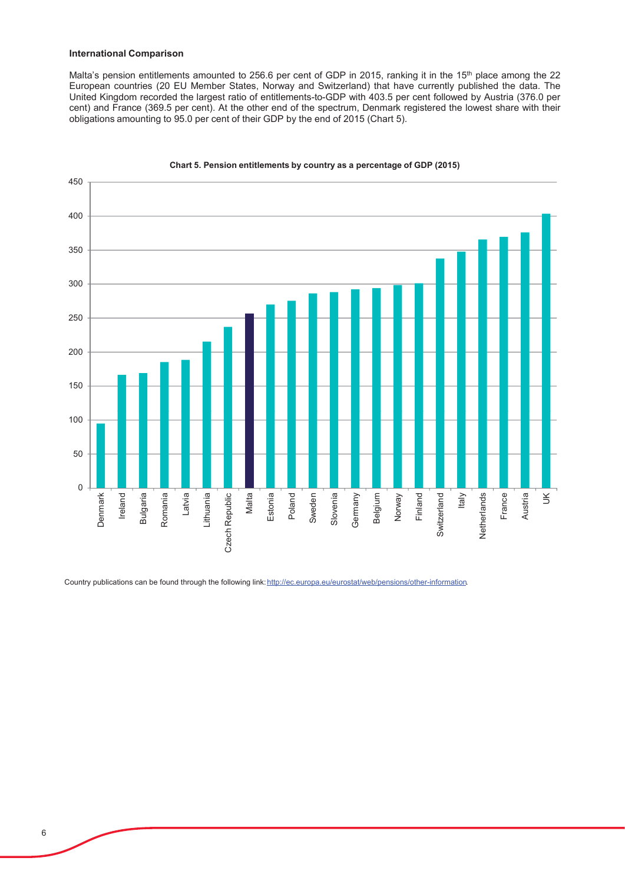#### **International Comparison**

Malta's pension entitlements amounted to 256.6 per cent of GDP in 2015, ranking it in the 15<sup>th</sup> place among the 22 European countries (20 EU Member States, Norway and Switzerland) that have currently published the data. The United Kingdom recorded the largest ratio of entitlements-to-GDP with 403.5 per cent followed by Austria (376.0 per cent) and France (369.5 per cent). At the other end of the spectrum, Denmark registered the lowest share with their obligations amounting to 95.0 per cent of their GDP by the end of 2015 (Chart 5).



Chart 5. Pension entitlements by country as a percentage of GDP (2015)

Country publications can be found through the following link: http://ec.europa.eu/eurostat/web/pensions/other-information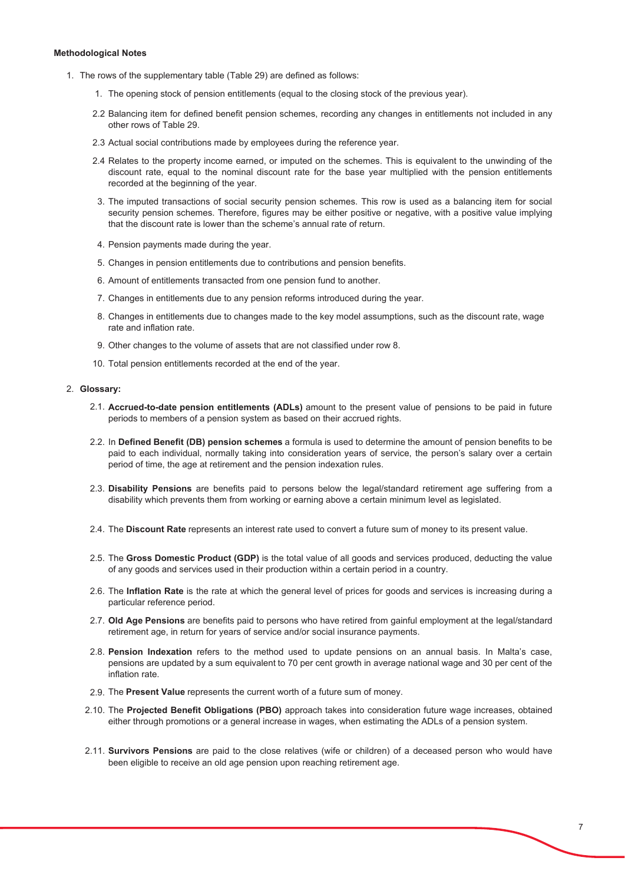#### **Methodological Notes**

- 1. The rows of the supplementary table (Table 29) are defined as follows:
	- 1. The opening stock of pension entitlements (equal to the closing stock of the previous year).
	- 2.2 Balancing item for defined benefit pension schemes, recording any changes in entitlements not included in any other rows of Table 29.
	- 2.3 Actual social contributions made by employees during the reference year.
	- 2.4 Relates to the property income earned, or imputed on the schemes. This is equivalent to the unwinding of the discount rate, equal to the nominal discount rate for the base year multiplied with the pension entitlements recorded at the beginning of the year.
	- 3. The imputed transactions of social security pension schemes. This row is used as a balancing item for social security pension schemes. Therefore, figures may be either positive or negative, with a positive value implying that the discount rate is lower than the scheme's annual rate of return.
	- 4. Pension payments made during the year.
	- 5. Changes in pension entitlements due to contributions and pension benefits.
	- 6. Amount of entitlements transacted from one pension fund to another.
	- 7. Changes in entitlements due to any pension reforms introduced during the year.
	- 8. Changes in entitlements due to changes made to the key model assumptions, such as the discount rate, wage rate and inflation rate.
	- 9. Other changes to the volume of assets that are not classified under row 8.
	- 10. Total pension entitlements recorded at the end of the year.

#### 2. Glossary:

- 2.1. Accrued-to-date pension entitlements (ADLs) amount to the present value of pensions to be paid in future periods to members of a pension system as based on their accrued rights.
- 2.2. In Defined Benefit (DB) pension schemes a formula is used to determine the amount of pension benefits to be paid to each individual, normally taking into consideration years of service, the person's salary over a certain period of time, the age at retirement and the pension indexation rules.
- 2.3. Disability Pensions are benefits paid to persons below the legal/standard retirement age suffering from a disability which prevents them from working or earning above a certain minimum level as legislated.
- 2.4. The Discount Rate represents an interest rate used to convert a future sum of money to its present value.
- 2.5. The Gross Domestic Product (GDP) is the total value of all goods and services produced, deducting the value of any goods and services used in their production within a certain period in a country.
- 2.6. The Inflation Rate is the rate at which the general level of prices for goods and services is increasing during a particular reference period.
- 2.7. Old Age Pensions are benefits paid to persons who have retired from gainful employment at the legal/standard retirement age, in return for years of service and/or social insurance payments.
- 2.8. **Pension Indexation** refers to the method used to update pensions on an annual basis. In Malta's case, pensions are updated by a sum equivalent to 70 per cent growth in average national wage and 30 per cent of the inflation rate.
- 2.9. The Present Value represents the current worth of a future sum of money.
- 2.10. The Projected Benefit Obligations (PBO) approach takes into consideration future wage increases, obtained either through promotions or a general increase in wages, when estimating the ADLs of a pension system.
- 2.11. **Survivors Pensions** are paid to the close relatives (wife or children) of a deceased person who would have been eligible to receive an old age pension upon reaching retirement age.